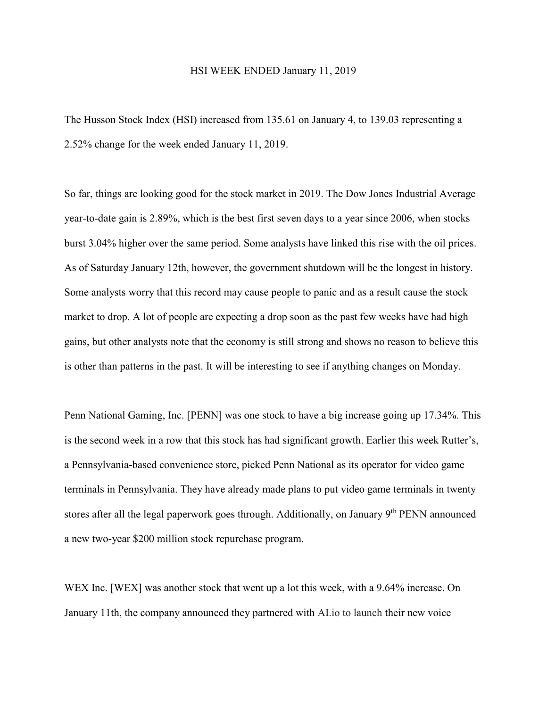## HSI WEEK ENDED January 11, 2019

The Husson Stock Index (HSI) increased from 135.61 on January 4, to 139.03 representing a 2.52% change for the week ended January 11, 2019.

So far, things are looking good for the stock market in 2019. The Dow Jones Industrial Average year-to-date gain is 2.89%, which is the best first seven days to a year since 2006, when stocks burst 3.04% higher over the same period. Some analysts have linked this rise with the oil prices. As of Saturday January 12th, however, the government shutdown will be the longest in history. Some analysts worry that this record may cause people to panic and as a result cause the stock market to drop. A lot of people are expecting a drop soon as the past few weeks have had high gains, but other analysts note that the economy is still strong and shows no reason to believe this is other than patterns in the past. It will be interesting to see if anything changes on Monday.

Penn National Gaming, Inc. [PENN] was one stock to have a big increase going up 17.34%. This is the second week in a row that this stock has had significant growth. Earlier this week Rutter's, a Pennsylvania-based convenience store, picked Penn National as its operator for video game terminals in Pennsylvania. They have already made plans to put video game terminals in twenty stores after all the legal paperwork goes through. Additionally, on January 9<sup>th</sup> PENN announced a new two-year \$200 million stock repurchase program.

WEX Inc. [WEX] was another stock that went up a lot this week, with a 9.64% increase. On January 11th, the company announced they partnered with AI.io to launch their new voice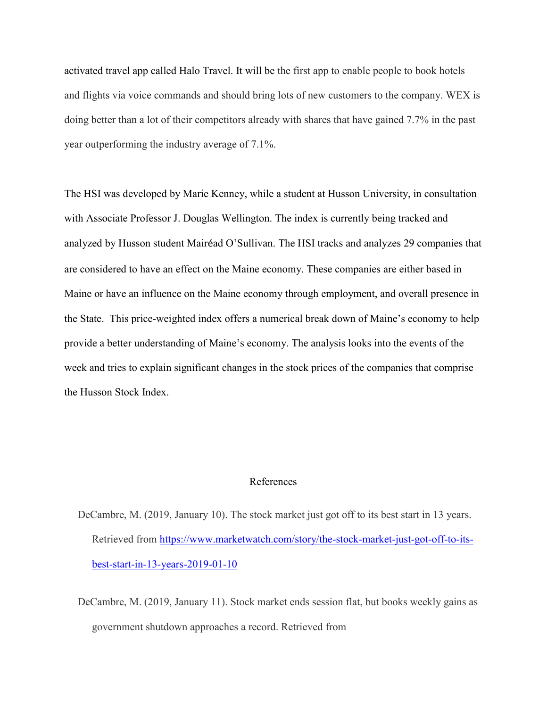activated travel app called Halo Travel. It will be the first app to enable people to book hotels and flights via voice commands and should bring lots of new customers to the company. WEX is doing better than a lot of their competitors already with shares that have gained 7.7% in the past year outperforming the industry average of 7.1%.

The HSI was developed by Marie Kenney, while a student at Husson University, in consultation with Associate Professor J. Douglas Wellington. The index is currently being tracked and analyzed by Husson student Mairéad O'Sullivan. The HSI tracks and analyzes 29 companies that are considered to have an effect on the Maine economy. These companies are either based in Maine or have an influence on the Maine economy through employment, and overall presence in the State. This price-weighted index offers a numerical break down of Maine's economy to help provide a better understanding of Maine's economy. The analysis looks into the events of the week and tries to explain significant changes in the stock prices of the companies that comprise the Husson Stock Index.

## References

DeCambre, M. (2019, January 10). The stock market just got off to its best start in 13 years. Retrieved from [https://www.marketwatch.com/story/the-stock-market-just-got-off-to-its](https://www.marketwatch.com/story/the-stock-market-just-got-off-to-its-best-start-in-13-years-2019-01-10)[best-start-in-13-years-2019-01-10](https://www.marketwatch.com/story/the-stock-market-just-got-off-to-its-best-start-in-13-years-2019-01-10)

DeCambre, M. (2019, January 11). Stock market ends session flat, but books weekly gains as government shutdown approaches a record. Retrieved from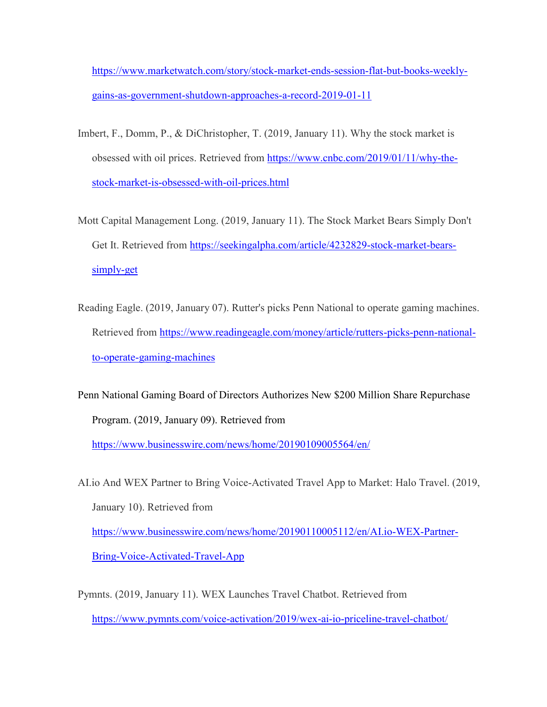[https://www.marketwatch.com/story/stock-market-ends-session-flat-but-books-weekly](https://www.marketwatch.com/story/stock-market-ends-session-flat-but-books-weekly-gains-as-government-shutdown-approaches-a-record-2019-01-11)[gains-as-government-shutdown-approaches-a-record-2019-01-11](https://www.marketwatch.com/story/stock-market-ends-session-flat-but-books-weekly-gains-as-government-shutdown-approaches-a-record-2019-01-11)

- Imbert, F., Domm, P., & DiChristopher, T. (2019, January 11). Why the stock market is obsessed with oil prices. Retrieved from [https://www.cnbc.com/2019/01/11/why-the](https://www.cnbc.com/2019/01/11/why-the-stock-market-is-obsessed-with-oil-prices.html)[stock-market-is-obsessed-with-oil-prices.html](https://www.cnbc.com/2019/01/11/why-the-stock-market-is-obsessed-with-oil-prices.html)
- Mott Capital Management Long. (2019, January 11). The Stock Market Bears Simply Don't Get It. Retrieved from [https://seekingalpha.com/article/4232829-stock-market-bears](https://seekingalpha.com/article/4232829-stock-market-bears-simply-get)[simply-get](https://seekingalpha.com/article/4232829-stock-market-bears-simply-get)
- Reading Eagle. (2019, January 07). Rutter's picks Penn National to operate gaming machines. Retrieved from [https://www.readingeagle.com/money/article/rutters-picks-penn-national](https://www.readingeagle.com/money/article/rutters-picks-penn-national-to-operate-gaming-machines)[to-operate-gaming-machines](https://www.readingeagle.com/money/article/rutters-picks-penn-national-to-operate-gaming-machines)

Penn National Gaming Board of Directors Authorizes New \$200 Million Share Repurchase Program. (2019, January 09). Retrieved from

<https://www.businesswire.com/news/home/20190109005564/en/>

AI.io And WEX Partner to Bring Voice-Activated Travel App to Market: Halo Travel. (2019, January 10). Retrieved from [https://www.businesswire.com/news/home/20190110005112/en/AI.io-WEX-Partner-](https://www.businesswire.com/news/home/20190110005112/en/AI.io-WEX-Partner-Bring-Voice-Activated-Travel-App)[Bring-Voice-Activated-Travel-App](https://www.businesswire.com/news/home/20190110005112/en/AI.io-WEX-Partner-Bring-Voice-Activated-Travel-App)

Pymnts. (2019, January 11). WEX Launches Travel Chatbot. Retrieved from <https://www.pymnts.com/voice-activation/2019/wex-ai-io-priceline-travel-chatbot/>